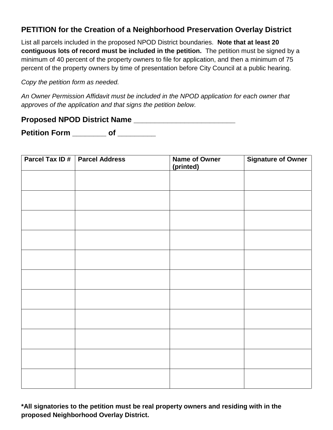## **PETITION for the Creation of a Neighborhood Preservation Overlay District**

List all parcels included in the proposed NPOD District boundaries. **Note that at least 20 contiguous lots of record must be included in the petition.** The petition must be signed by a minimum of 40 percent of the property owners to file for application, and then a minimum of 75 percent of the property owners by time of presentation before City Council at a public hearing.

*Copy the petition form as needed.* 

*An Owner Permission Affidavit must be included in the NPOD application for each owner that approves of the application and that signs the petition below.* 

**Proposed NPOD District Name \_\_\_\_\_\_\_\_\_\_\_\_\_\_\_\_\_\_\_\_\_\_\_\_** 

**Petition Form \_\_\_\_\_\_\_\_ of \_\_\_\_\_\_\_\_\_** 

| Parcel Tax ID# | <b>Parcel Address</b> | Name of Owner<br>(printed) | <b>Signature of Owner</b> |
|----------------|-----------------------|----------------------------|---------------------------|
|                |                       |                            |                           |
|                |                       |                            |                           |
|                |                       |                            |                           |
|                |                       |                            |                           |
|                |                       |                            |                           |
|                |                       |                            |                           |
|                |                       |                            |                           |
|                |                       |                            |                           |
|                |                       |                            |                           |
|                |                       |                            |                           |
|                |                       |                            |                           |

**\*All signatories to the petition must be real property owners and residing with in the proposed Neighborhood Overlay District.**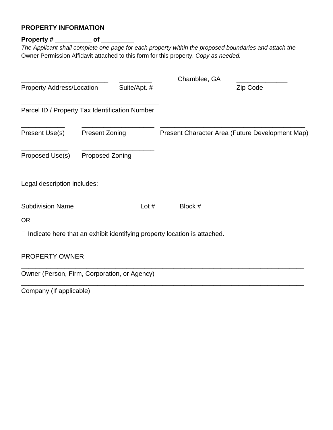## **PROPERTY INFORMATION**

## **Property # \_\_\_\_\_\_\_\_\_\_ of \_\_\_\_\_\_\_\_\_**

*The Applicant shall complete one page for each property within the proposed boundaries and attach the*  Owner Permission Affidavit attached to this form for this property. *Copy as needed.* 

|                                                |                        |              | Chamblee, GA                                                                    |          |
|------------------------------------------------|------------------------|--------------|---------------------------------------------------------------------------------|----------|
| <b>Property Address/Location</b>               |                        | Suite/Apt. # |                                                                                 | Zip Code |
| Parcel ID / Property Tax Identification Number |                        |              |                                                                                 |          |
| Present Use(s)                                 | <b>Present Zoning</b>  |              | Present Character Area (Future Development Map)                                 |          |
| Proposed Use(s)                                | <b>Proposed Zoning</b> |              |                                                                                 |          |
| Legal description includes:                    |                        |              |                                                                                 |          |
| <b>Subdivision Name</b>                        |                        | Lot $#$      | Block #                                                                         |          |
| <b>OR</b>                                      |                        |              |                                                                                 |          |
|                                                |                        |              | $\Box$ Indicate here that an exhibit identifying property location is attached. |          |
| PROPERTY OWNER                                 |                        |              |                                                                                 |          |
| Owner (Person, Firm, Corporation, or Agency)   |                        |              |                                                                                 |          |

Company (If applicable)